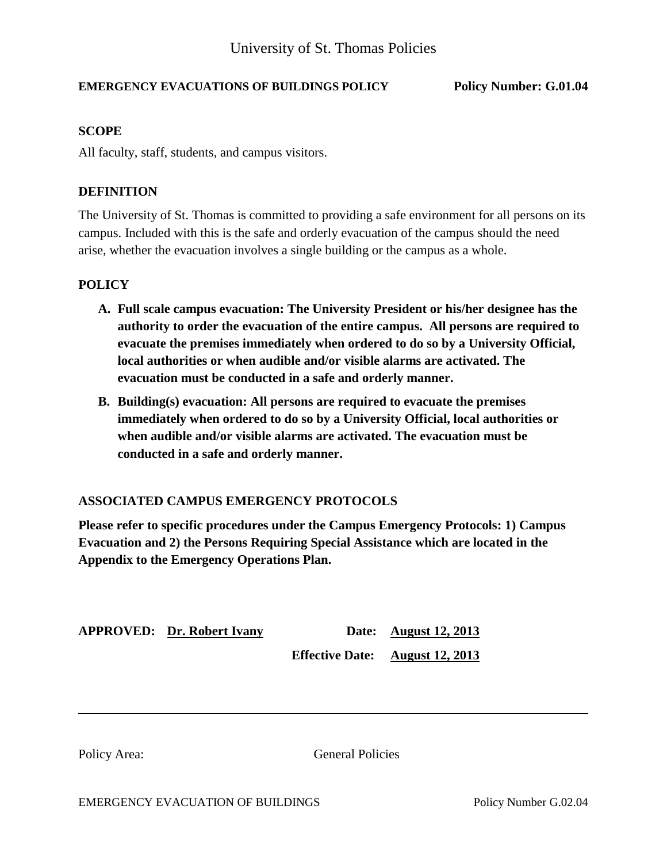# **EMERGENCY EVACUATIONS OF BUILDINGS POLICY Policy Number: G.01.04**

## **SCOPE**

All faculty, staff, students, and campus visitors.

## **DEFINITION**

The University of St. Thomas is committed to providing a safe environment for all persons on its campus. Included with this is the safe and orderly evacuation of the campus should the need arise, whether the evacuation involves a single building or the campus as a whole.

#### **POLICY**

- **A. Full scale campus evacuation: The University President or his/her designee has the authority to order the evacuation of the entire campus. All persons are required to evacuate the premises immediately when ordered to do so by a University Official, local authorities or when audible and/or visible alarms are activated. The evacuation must be conducted in a safe and orderly manner.**
- **B. Building(s) evacuation: All persons are required to evacuate the premises immediately when ordered to do so by a University Official, local authorities or when audible and/or visible alarms are activated. The evacuation must be conducted in a safe and orderly manner.**

# **ASSOCIATED CAMPUS EMERGENCY PROTOCOLS**

**Please refer to specific procedures under the Campus Emergency Protocols: 1) Campus Evacuation and 2) the Persons Requiring Special Assistance which are located in the Appendix to the Emergency Operations Plan.**

| <b>APPROVED: Dr. Robert Ivany</b> | <b>Date:</b> August 12, 2013           |
|-----------------------------------|----------------------------------------|
|                                   | <b>Effective Date:</b> August 12, 2013 |

Policy Area: General Policies

EMERGENCY EVACUATION OF BUILDINGS Policy Number G.02.04